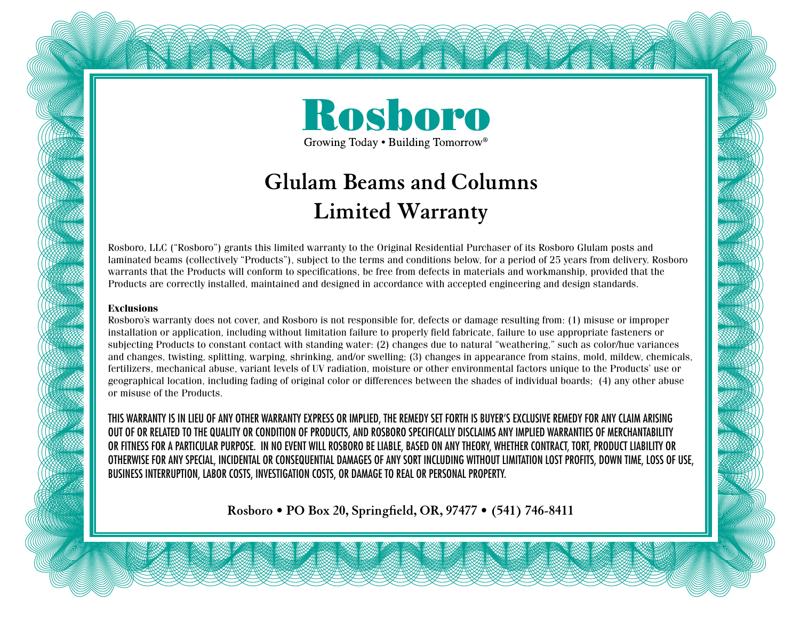

## **Glulam Beams and Columns Limited Warranty**

Rosboro, LLC ("Rosboro") grants this limited warranty to the Original Residential Purchaser of its Rosboro Glulam posts and laminated beams (collectively "Products"), subject to the terms and conditions below, for a period of 25 years from delivery. Rosboro warrants that the Products will conform to specifications, be free from defects in materials and workmanship, provided that the Products are correctly installed, maintained and designed in accordance with accepted engineering and design standards.

## **Exclusions**

Rosboro's warranty does not cover, and Rosboro is not responsible for, defects or damage resulting from: (1) misuse or improper installation or application, including without limitation failure to properly field fabricate, failure to use appropriate fasteners or subjecting Products to constant contact with standing water: (2) changes due to natural "weathering," such as color/hue variances and changes, twisting, splitting, warping, shrinking, and/or swelling; (3) changes in appearance from stains, mold, mildew, chemicals, fertilizers, mechanical abuse, variant levels of UV radiation, moisture or other environmental factors unique to the Products' use or geographical location, including fading of original color or differences between the shades of individual boards; (4) any other abuse or misuse of the Products.

THIS WARRANTY IS IN LIEU OF ANY OTHER WARRANTY EXPRESS OR IMPLIED, THE REMEDY SET FORTH IS BUYER'S EXCLUSIVE REMEDY FOR ANY CLAIM ARISING OUT OF OR RELATED TO THE QUALITY OR CONDITION OF PRODUCTS, AND ROSBORO SPECIFICALLY DISCLAIMS ANY IMPLIED WARRANTIES OF MERCHANTABILITY OR FITNESS FOR A PARTICULAR PURPOSE. IN NO EVENT WILL ROSBORO BE LIABLE, BASED ON ANY THEORY, WHETHER CONTRACT, TORT, PRODUCT LIABILITY OR OTHERWISE FOR ANY SPECIAL, INCIDENTAL OR CONSEQUENTIAL DAMAGES OF ANY SORT INCLUDING WITHOUT LIMITATION LOST PROFITS, DOWN TIME, LOSS OF USE, BUSINESS INTERRUPTION, LABOR COSTS, INVESTIGATION COSTS, OR DAMAGE TO REAL OR PERSONAL PROPERTY.

**Rosboro • PO Box 20, Springfield, OR, 97477 • (541) 746-8411**